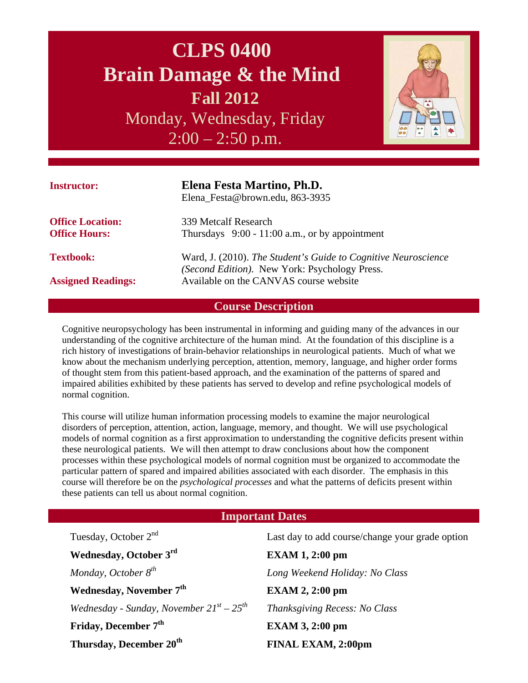# **CLPS 0400 Brain Damage & the Mind Fall 2012**

Monday, Wednesday, Friday  $2:00 - 2:50$  p.m.



| <b>Instructor:</b>        | Elena Festa Martino, Ph.D.<br>Elena_Festa@brown.edu, 863-3935                                                                                             |  |
|---------------------------|-----------------------------------------------------------------------------------------------------------------------------------------------------------|--|
| <b>Office Location:</b>   | 339 Metcalf Research                                                                                                                                      |  |
| <b>Office Hours:</b>      | Thursdays $9:00 - 11:00$ a.m., or by appointment                                                                                                          |  |
| <b>Textbook:</b>          | Ward, J. (2010). The Student's Guide to Cognitive Neuroscience<br>(Second Edition). New York: Psychology Press.<br>Available on the CANVAS course website |  |
| <b>Assigned Readings:</b> |                                                                                                                                                           |  |

# **Course Description**

Cognitive neuropsychology has been instrumental in informing and guiding many of the advances in our understanding of the cognitive architecture of the human mind. At the foundation of this discipline is a rich history of investigations of brain-behavior relationships in neurological patients. Much of what we know about the mechanism underlying perception, attention, memory, language, and higher order forms of thought stem from this patient-based approach, and the examination of the patterns of spared and impaired abilities exhibited by these patients has served to develop and refine psychological models of normal cognition.

This course will utilize human information processing models to examine the major neurological disorders of perception, attention, action, language, memory, and thought. We will use psychological models of normal cognition as a first approximation to understanding the cognitive deficits present within these neurological patients. We will then attempt to draw conclusions about how the component processes within these psychological models of normal cognition must be organized to accommodate the particular pattern of spared and impaired abilities associated with each disorder. The emphasis in this course will therefore be on the *psychological processes* and what the patterns of deficits present within these patients can tell us about normal cognition.

## **Important Dates**

| Tuesday, October 2 <sup>nd</sup>                 | Last day to add course/change your grade option |
|--------------------------------------------------|-------------------------------------------------|
| Wednesday, October 3rd                           | <b>EXAM 1, 2:00 pm</b>                          |
| Monday, October 8 <sup>th</sup>                  | Long Weekend Holiday: No Class                  |
| Wednesday, November 7 <sup>th</sup>              | $EXAMPLEXAM$ 2, 2:00 pm                         |
| Wednesday - Sunday, November $21^{st} - 25^{th}$ | Thanksgiving Recess: No Class                   |
| Friday, December 7 <sup>th</sup>                 | <b>EXAM 3, 2:00 pm</b>                          |
| Thursday, December 20 <sup>th</sup>              | <b>FINAL EXAM, 2:00pm</b>                       |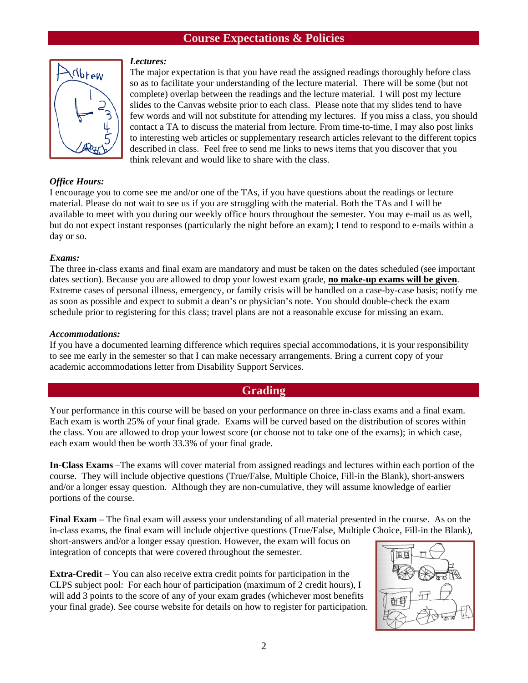## **Course Expectations & Policies**



#### *Lectures:*

The major expectation is that you have read the assigned readings thoroughly before class so as to facilitate your understanding of the lecture material. There will be some (but not complete) overlap between the readings and the lecture material. I will post my lecture slides to the Canvas website prior to each class. Please note that my slides tend to have few words and will not substitute for attending my lectures. If you miss a class, you should contact a TA to discuss the material from lecture. From time-to-time, I may also post links to interesting web articles or supplementary research articles relevant to the different topics described in class. Feel free to send me links to news items that you discover that you think relevant and would like to share with the class.

## *Office Hours:*

I encourage you to come see me and/or one of the TAs, if you have questions about the readings or lecture material. Please do not wait to see us if you are struggling with the material. Both the TAs and I will be available to meet with you during our weekly office hours throughout the semester. You may e-mail us as well, but do not expect instant responses (particularly the night before an exam); I tend to respond to e-mails within a day or so.

#### *Exams:*

The three in-class exams and final exam are mandatory and must be taken on the dates scheduled (see important dates section). Because you are allowed to drop your lowest exam grade, **no make-up exams will be given**. Extreme cases of personal illness, emergency, or family crisis will be handled on a case-by-case basis; notify me as soon as possible and expect to submit a dean's or physician's note. You should double-check the exam schedule prior to registering for this class; travel plans are not a reasonable excuse for missing an exam.

## *Accommodations:*

If you have a documented learning difference which requires special accommodations, it is your responsibility to see me early in the semester so that I can make necessary arrangements. Bring a current copy of your academic accommodations letter from Disability Support Services.

## **Grading**

Your performance in this course will be based on your performance on three in-class exams and a final exam. Each exam is worth 25% of your final grade. Exams will be curved based on the distribution of scores within the class. You are allowed to drop your lowest score (or choose not to take one of the exams); in which case, each exam would then be worth 33.3% of your final grade.

**In-Class Exams** –The exams will cover material from assigned readings and lectures within each portion of the course. They will include objective questions (True/False, Multiple Choice, Fill-in the Blank), short-answers and/or a longer essay question. Although they are non-cumulative, they will assume knowledge of earlier portions of the course.

**Final Exam** – The final exam will assess your understanding of all material presented in the course. As on the in-class exams, the final exam will include objective questions (True/False, Multiple Choice, Fill-in the Blank),

short-answers and/or a longer essay question. However, the exam will focus on integration of concepts that were covered throughout the semester.

**Extra-Credit** – You can also receive extra credit points for participation in the CLPS subject pool: For each hour of participation (maximum of 2 credit hours), I will add 3 points to the score of any of your exam grades (whichever most benefits your final grade). See course website for details on how to register for participation.

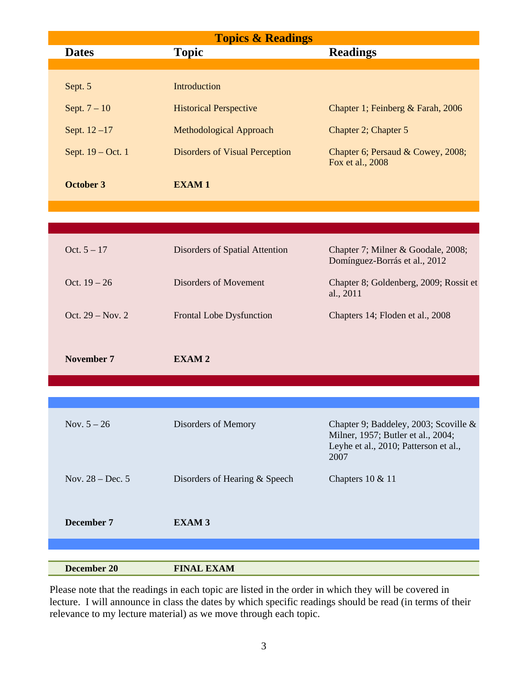| <b>Topics &amp; Readings</b> |                                       |                                                                                                                              |  |  |
|------------------------------|---------------------------------------|------------------------------------------------------------------------------------------------------------------------------|--|--|
| <b>Dates</b>                 | <b>Topic</b>                          | <b>Readings</b>                                                                                                              |  |  |
|                              |                                       |                                                                                                                              |  |  |
| Sept. 5                      | Introduction                          |                                                                                                                              |  |  |
| Sept. $7 - 10$               | <b>Historical Perspective</b>         | Chapter 1; Feinberg & Farah, 2006                                                                                            |  |  |
| Sept. $12 - 17$              | Methodological Approach               | Chapter 2; Chapter 5                                                                                                         |  |  |
| Sept. 19 – Oct. 1            | <b>Disorders of Visual Perception</b> | Chapter 6; Persaud & Cowey, 2008;<br>Fox et al., 2008                                                                        |  |  |
| <b>October 3</b>             | <b>EXAM1</b>                          |                                                                                                                              |  |  |
|                              |                                       |                                                                                                                              |  |  |
|                              |                                       |                                                                                                                              |  |  |
|                              |                                       |                                                                                                                              |  |  |
| Oct. $5 - 17$                | Disorders of Spatial Attention        | Chapter 7; Milner & Goodale, 2008;<br>Domínguez-Borrás et al., 2012                                                          |  |  |
| Oct. $19 - 26$               | <b>Disorders of Movement</b>          | Chapter 8; Goldenberg, 2009; Rossit et<br>al., 2011                                                                          |  |  |
| Oct. 29 – Nov. 2             | Frontal Lobe Dysfunction              | Chapters 14; Floden et al., 2008                                                                                             |  |  |
|                              |                                       |                                                                                                                              |  |  |
| November 7                   | <b>EXAM2</b>                          |                                                                                                                              |  |  |
|                              |                                       |                                                                                                                              |  |  |
|                              |                                       |                                                                                                                              |  |  |
|                              |                                       |                                                                                                                              |  |  |
| Nov. $5 - 26$                | Disorders of Memory                   | Chapter 9; Baddeley, 2003; Scoville &<br>Milner, 1957; Butler et al., 2004;<br>Leyhe et al., 2010; Patterson et al.,<br>2007 |  |  |
| Nov. $28 - Dec.5$            | Disorders of Hearing & Speech         | Chapters 10 & 11                                                                                                             |  |  |
|                              |                                       |                                                                                                                              |  |  |
| December 7                   | <b>EXAM3</b>                          |                                                                                                                              |  |  |
|                              |                                       |                                                                                                                              |  |  |
|                              |                                       |                                                                                                                              |  |  |
| <b>December 20</b>           | <b>FINAL EXAM</b>                     |                                                                                                                              |  |  |

Please note that the readings in each topic are listed in the order in which they will be covered in lecture. I will announce in class the dates by which specific readings should be read (in terms of their relevance to my lecture material) as we move through each topic.